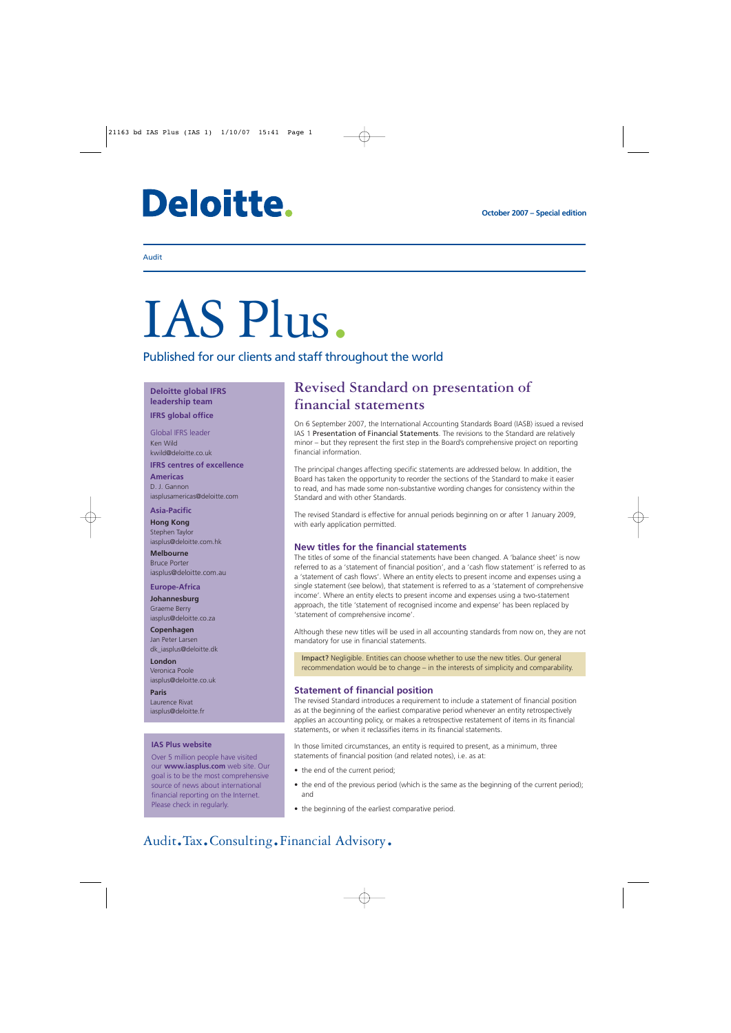# Deloitte.

#### Audit

# IAS Plus.

Published for our clients and staff throughout the world

#### **Deloitte global IFRS leadership team**

#### **IFRS global office**

Global IFRS leader Ken Wild kwild@deloitte.co.uk

#### **IFRS centres of excellence**

**Americas** D. J. Gannon iasplusamericas@deloitte.com

#### **Asia-Pacific**

**Hong Kong** Stephen Taylor iasplus@deloitte.com.hk

**Melbourne** Bruce Porter iasplus@deloitte.com.au

#### **Europe-Africa**

**Johannesburg** Graeme Berry iasplus@deloitte.co.za

**Copenhagen** Jan Peter Larsen dk\_iasplus@deloitte.dk

**London** Veronica Poole iasplus@deloitte.co.uk

**Paris** Laurence Rivat iasplus@deloitte.fr

#### **IAS Plus website**

Over 5 million people have visited our **www.iasplus.com** web site. Our goal is to be the most comprehensive source of news about international financial reporting on the Internet. Please check in regularly.

### **Revised Standard on presentation of financial statements**

On 6 September 2007, the International Accounting Standards Board (IASB) issued a revised IAS 1 Presentation of Financial Statements. The revisions to the Standard are relatively minor – but they represent the first step in the Board's comprehensive project on reporting financial information.

The principal changes affecting specific statements are addressed below. In addition, the Board has taken the opportunity to reorder the sections of the Standard to make it easier to read, and has made some non-substantive wording changes for consistency within the Standard and with other Standards.

The revised Standard is effective for annual periods beginning on or after 1 January 2009, with early application permitted.

#### **New titles for the financial statements**

The titles of some of the financial statements have been changed. A 'balance sheet' is now referred to as a 'statement of financial position', and a 'cash flow statement' is referred to as a 'statement of cash flows'. Where an entity elects to present income and expenses using a single statement (see below), that statement is referred to as a 'statement of comprehensive income'. Where an entity elects to present income and expenses using a two-statement approach, the title 'statement of recognised income and expense' has been replaced by 'statement of comprehensive income'.

Although these new titles will be used in all accounting standards from now on, they are not mandatory for use in financial statements.

Impact? Negligible. Entities can choose whether to use the new titles. Our general recommendation would be to change – in the interests of simplicity and comparability.

#### **Statement of financial position**

The revised Standard introduces a requirement to include a statement of financial position as at the beginning of the earliest comparative period whenever an entity retrospectively applies an accounting policy, or makes a retrospective restatement of items in its financial statements, or when it reclassifies items in its financial statements.

In those limited circumstances, an entity is required to present, as a minimum, three statements of financial position (and related notes), i.e. as at:

- the end of the current period;
- the end of the previous period (which is the same as the beginning of the current period); and
- the beginning of the earliest comparative period.

## Audit.Tax.Consulting.Financial Advisory.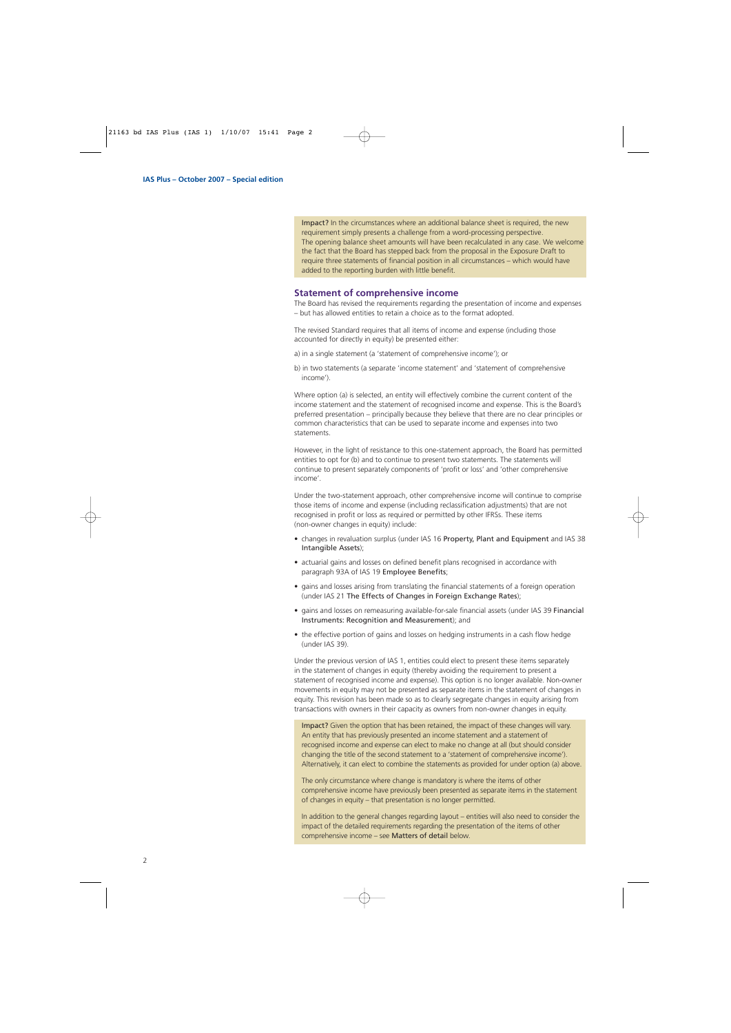Impact? In the circumstances where an additional balance sheet is required, the new requirement simply presents a challenge from a word-processing perspective. The opening balance sheet amounts will have been recalculated in any case. We welcome the fact that the Board has stepped back from the proposal in the Exposure Draft to require three statements of financial position in all circumstances – which would have added to the reporting burden with little benefit.

#### **Statement of comprehensive income**

The Board has revised the requirements regarding the presentation of income and expenses – but has allowed entities to retain a choice as to the format adopted.

The revised Standard requires that all items of income and expense (including those accounted for directly in equity) be presented either:

a) in a single statement (a 'statement of comprehensive income'); or

b) in two statements (a separate 'income statement' and 'statement of comprehensive income').

Where option (a) is selected, an entity will effectively combine the current content of the income statement and the statement of recognised income and expense. This is the Board's preferred presentation – principally because they believe that there are no clear principles or common characteristics that can be used to separate income and expenses into two statements.

However, in the light of resistance to this one-statement approach, the Board has permitted entities to opt for (b) and to continue to present two statements. The statements will continue to present separately components of 'profit or loss' and 'other comprehensive income'.

Under the two-statement approach, other comprehensive income will continue to comprise those items of income and expense (including reclassification adjustments) that are not recognised in profit or loss as required or permitted by other IFRSs. These items (non-owner changes in equity) include:

- changes in revaluation surplus (under IAS 16 Property, Plant and Equipment and IAS 38 Intangible Assets);
- actuarial gains and losses on defined benefit plans recognised in accordance with paragraph 93A of IAS 19 Employee Benefits ;
- gains and losses arising from translating the financial statements of a foreign operation (under IAS 21 The Effects of Changes in Foreign Exchange Rates);
- gains and losses on remeasuring available-for-sale financial assets (under IAS 39 Financial Instruments: Recognition and Measurement); and
- the effective portion of gains and losses on hedging instruments in a cash flow hedge (under IAS 39).

Under the previous version of IAS 1, entities could elect to present these items separately in the statement of changes in equity (thereby avoiding the requirement to present a statement of recognised income and expense). This option is no longer available. Non-owner movements in equity may not be presented as separate items in the statement of changes in equity. This revision has been made so as to clearly segregate changes in equity arising from transactions with owners in their capacity as owners from non-owner changes in equity.

Impact? Given the option that has been retained, the impact of these changes will vary. An entity that has previously presented an income statement and a statement of recognised income and expense can elect to make no change at all (but should consider changing the title of the second statement to a 'statement of comprehensive income'). Alternatively, it can elect to combine the statements as provided for under option (a) above.

The only circumstance where change is mandatory is where the items of other comprehensive income have previously been presented as separate items in the statement of changes in equity – that presentation is no longer permitted.

In addition to the general changes regarding layout – entities will also need to consider the impact of the detailed requirements regarding the presentation of the items of other comprehensive income – see Matters of detail below.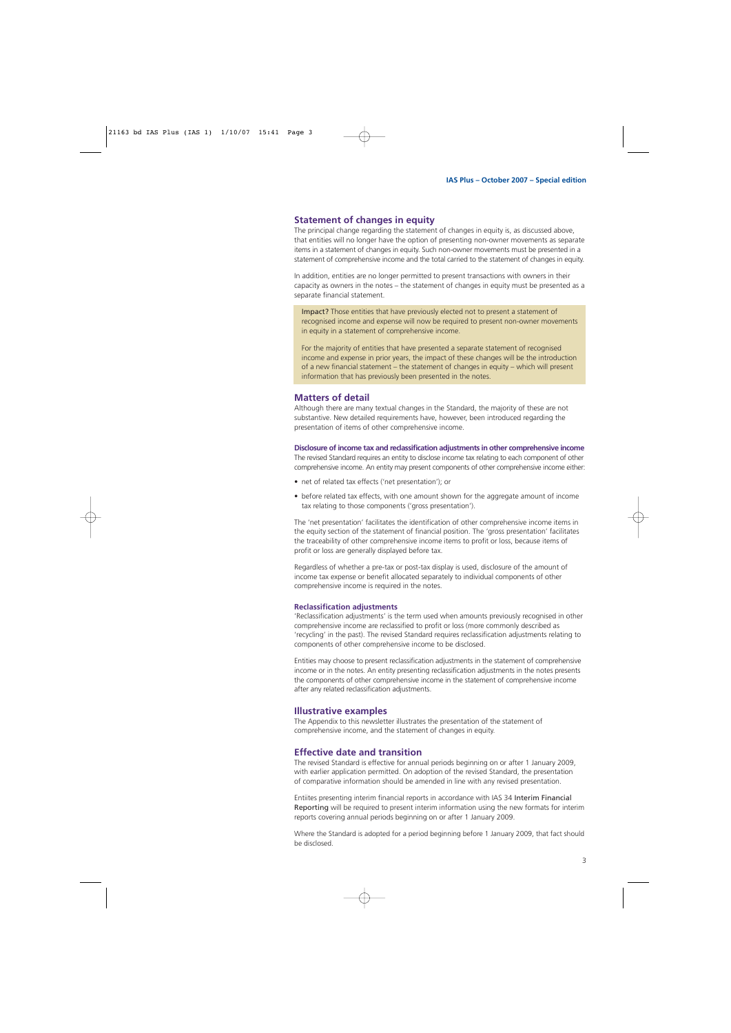#### **Statement of changes in equity**

The principal change regarding the statement of changes in equity is, as discussed above, that entities will no longer have the option of presenting non-owner movements as separate items in a statement of changes in equity. Such non-owner movements must be presented in a statement of comprehensive income and the total carried to the statement of changes in equity.

In addition, entities are no longer permitted to present transactions with owners in their capacity as owners in the notes – the statement of changes in equity must be presented as a separate financial statement.

Impact? Those entities that have previously elected not to present a statement of recognised income and expense will now be required to present non-owner movements in equity in a statement of comprehensive income.

For the majority of entities that have presented a separate statement of recognised income and expense in prior years, the impact of these changes will be the introduction of a new financial statement – the statement of changes in equity – which will present information that has previously been presented in the notes.

#### **Matters of detail**

Although there are many textual changes in the Standard, the majority of these are not substantive. New detailed requirements have, however, been introduced regarding the presentation of items of other comprehensive income.

#### **Disclosure of income tax and reclassification adjustments in other comprehensive income**

The revised Standard requires an entity to disclose income tax relating to each component of other comprehensive income. An entity may present components of other comprehensive income either:

- net of related tax effects ('net presentation'); or
- before related tax effects, with one amount shown for the aggregate amount of income tax relating to those components ('gross presentation').

The 'net presentation' facilitates the identification of other comprehensive income items in the equity section of the statement of financial position. The 'gross presentation' facilitates the traceability of other comprehensive income items to profit or loss, because items of profit or loss are generally displayed before tax.

Regardless of whether a pre-tax or post-tax display is used, disclosure of the amount of income tax expense or benefit allocated separately to individual components of other comprehensive income is required in the notes.

#### **Reclassification adjustments**

'Reclassification adjustments' is the term used when amounts previously recognised in other comprehensive income are reclassified to profit or loss (more commonly described as 'recycling' in the past). The revised Standard requires reclassification adjustments relating to components of other comprehensive income to be disclosed.

Entities may choose to present reclassification adjustments in the statement of comprehensive income or in the notes. An entity presenting reclassification adjustments in the notes presents the components of other comprehensive income in the statement of comprehensive income after any related reclassification adjustments.

#### **Illustrative examples**

The Appendix to this newsletter illustrates the presentation of the statement of comprehensive income, and the statement of changes in equity.

#### **Effective date and transition**

The revised Standard is effective for annual periods beginning on or after 1 January 2009, with earlier application permitted. On adoption of the revised Standard, the presentation of comparative information should be amended in line with any revised presentation.

Entiites presenting interim financial reports in accordance with IAS 34 Interim Financial Reporting will be required to present interim information using the new formats for interim reports covering annual periods beginning on or after 1 January 2009.

Where the Standard is adopted for a period beginning before 1 January 2009, that fact should be disclosed.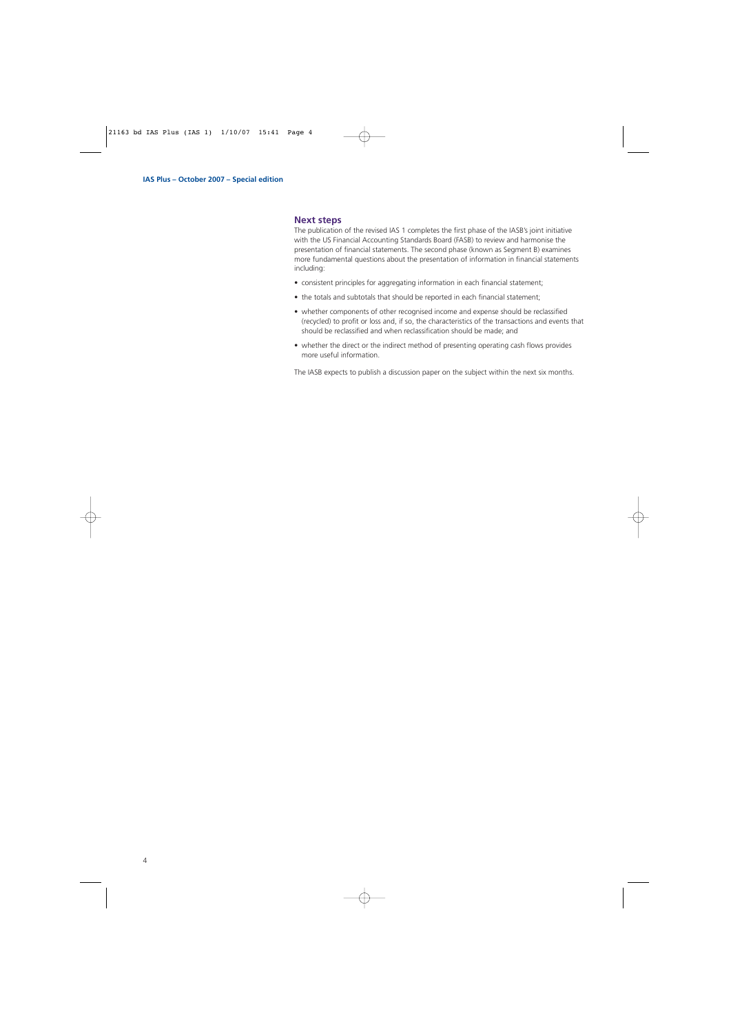#### **Next steps**

The publication of the revised IAS 1 completes the first phase of the IASB's joint initiative with the US Financial Accounting Standards Board (FASB) to review and harmonise the presentation of financial statements. The second phase (known as Segment B) examines more fundamental questions about the presentation of information in financial statements including:

- consistent principles for aggregating information in each financial statement;
- the totals and subtotals that should be reported in each financial statement:
- whether components of other recognised income and expense should be reclassified (recycled) to profit or loss and, if so, the characteristics of the transactions and events that should be reclassified and when reclassification should be made; and
- whether the direct or the indirect method of presenting operating cash flows provides more useful information.

The IASB expects to publish a discussion paper on the subject within the next six months.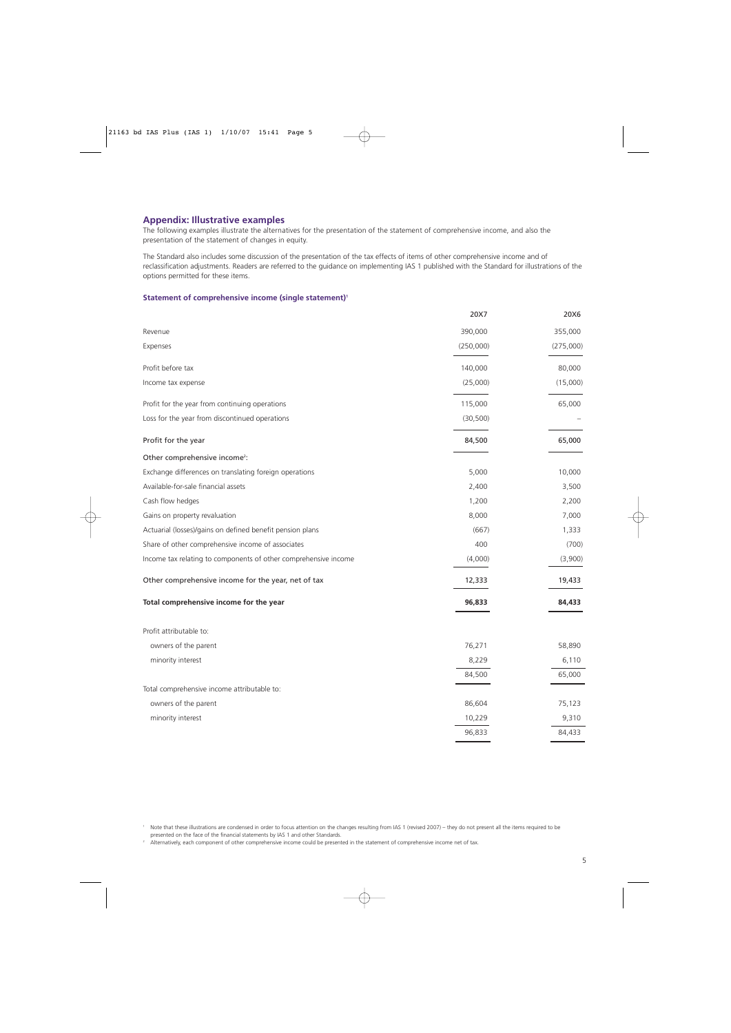#### **Appendix: Illustrative examples**

The following examples illustrate the alternatives for the presentation of the statement of comprehensive income, and also the presentation of the statement of changes in equity.

The Standard also includes some discussion of the presentation of the tax effects of items of other comprehensive income and of reclassification adjustments. Readers are referred to the guidance on implementing IAS 1 published with the Standard for illustrations of the options permitted for these items.

#### **Statement of comprehensive income (single statement)1**

|                                                                 | 20X7      | 20X6      |
|-----------------------------------------------------------------|-----------|-----------|
| Revenue                                                         | 390,000   | 355,000   |
| Expenses                                                        | (250,000) | (275,000) |
| Profit before tax                                               | 140,000   | 80,000    |
| Income tax expense                                              | (25,000)  | (15,000)  |
| Profit for the year from continuing operations                  | 115,000   | 65,000    |
| Loss for the year from discontinued operations                  | (30, 500) |           |
| Profit for the year                                             | 84,500    | 65,000    |
| Other comprehensive income <sup>2</sup> :                       |           |           |
| Exchange differences on translating foreign operations          | 5,000     | 10,000    |
| Available-for-sale financial assets                             | 2,400     | 3,500     |
| Cash flow hedges                                                | 1,200     | 2,200     |
| Gains on property revaluation                                   | 8,000     | 7,000     |
| Actuarial (losses)/gains on defined benefit pension plans       | (667)     | 1,333     |
| Share of other comprehensive income of associates               | 400       | (700)     |
| Income tax relating to components of other comprehensive income | (4,000)   | (3,900)   |
| Other comprehensive income for the year, net of tax             | 12,333    | 19,433    |
| Total comprehensive income for the year                         | 96,833    | 84,433    |
| Profit attributable to:                                         |           |           |
| owners of the parent                                            | 76,271    | 58,890    |
| minority interest                                               | 8,229     | 6,110     |
|                                                                 | 84,500    | 65,000    |
| Total comprehensive income attributable to:                     |           |           |
| owners of the parent                                            | 86,604    | 75,123    |
| minority interest                                               | 10,229    | 9,310     |
|                                                                 | 96,833    | 84,433    |

1 Note that these illustrations are condensed in order to focus attention on the changes resulting from IAS 1 (revised 2007) – they do not present all the items required to be presented on the face of the financial statements by IAS 1 and other Standards.

<sup>2</sup> Alternatively, each component of other comprehensive income could be presented in the statement of comprehensive income net of tax.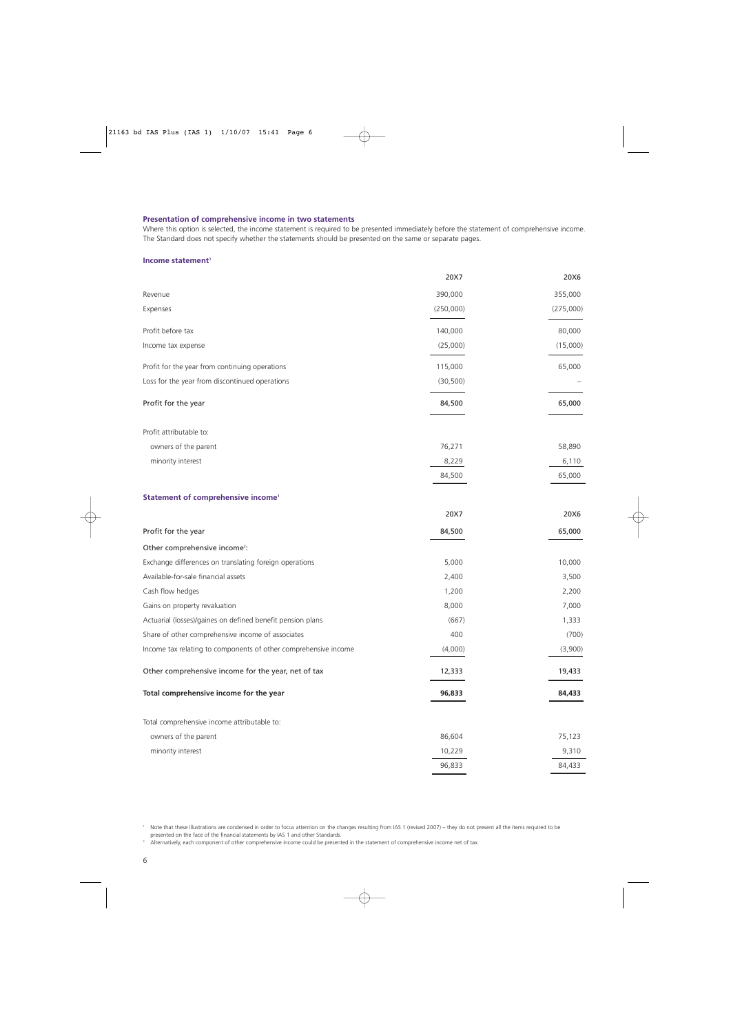#### **Presentation of comprehensive income in two statements**

Where this option is selected, the income statement is required to be presented immediately before the statement of comprehensive income. The Standard does not specify whether the statements should be presented on the same or separate pages.

#### **Income statement<sup>1</sup>**

|                                                                 | 20X7      | 20X6      |
|-----------------------------------------------------------------|-----------|-----------|
| Revenue                                                         | 390,000   | 355,000   |
| Expenses                                                        | (250,000) | (275,000) |
| Profit before tax                                               | 140,000   | 80,000    |
| Income tax expense                                              | (25,000)  | (15,000)  |
| Profit for the year from continuing operations                  | 115,000   | 65,000    |
| Loss for the year from discontinued operations                  | (30, 500) |           |
| Profit for the year                                             | 84,500    | 65,000    |
| Profit attributable to:                                         |           |           |
| owners of the parent                                            | 76,271    | 58,890    |
| minority interest                                               | 8,229     | 6,110     |
|                                                                 | 84,500    | 65,000    |
| Statement of comprehensive income <sup>1</sup>                  |           |           |
|                                                                 | 20X7      | 20X6      |
| Profit for the year                                             | 84,500    | 65,000    |
| Other comprehensive income <sup>2</sup> :                       |           |           |
| Exchange differences on translating foreign operations          | 5,000     | 10,000    |
| Available-for-sale financial assets                             | 2,400     | 3,500     |
| Cash flow hedges                                                | 1,200     | 2,200     |
| Gains on property revaluation                                   | 8,000     | 7,000     |
| Actuarial (losses)/gaines on defined benefit pension plans      | (667)     | 1,333     |
| Share of other comprehensive income of associates               | 400       | (700)     |
| Income tax relating to components of other comprehensive income | (4,000)   | (3,900)   |
| Other comprehensive income for the year, net of tax             | 12,333    | 19,433    |
| Total comprehensive income for the year                         | 96,833    | 84,433    |
| Total comprehensive income attributable to:                     |           |           |
| owners of the parent                                            | 86,604    | 75,123    |
| minority interest                                               | 10,229    | 9,310     |
|                                                                 | 96,833    | 84,433    |
|                                                                 |           |           |

<sup>1</sup> Note that these illustrations are condensed in order to focus attention on the changes resulting from IAS 1 (revised 2007) – they do not present all the items required to be presented on the face of the financial statements by IAS 1 and other Standards.

<sup>2</sup> Alternatively, each component of other comprehensive income could be presented in the statement of comprehensive income net of tax.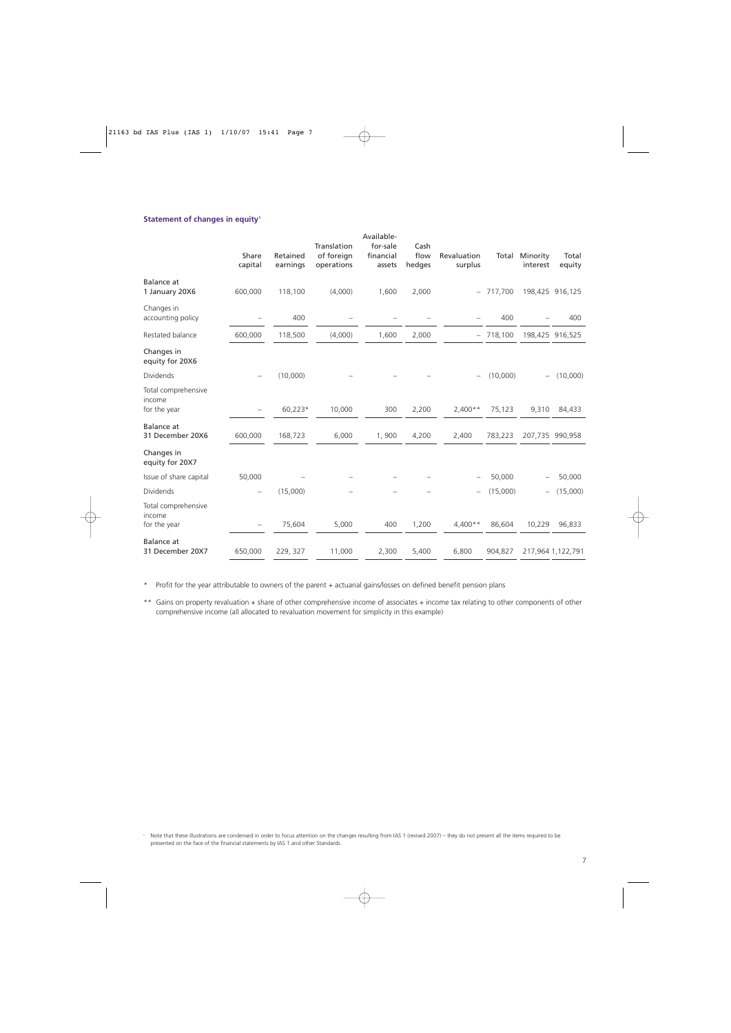#### **Statement of changes in equity<sup>1</sup>**

|                                               | Share<br>capital  | Retained<br>earnings | Translation<br>of foreign<br>operations | Available-<br>for-sale<br>financial<br>assets | Cash<br>flow<br>hedges | Revaluation<br>surplus   | Total      | Minority<br>interest     | Total<br>equity   |
|-----------------------------------------------|-------------------|----------------------|-----------------------------------------|-----------------------------------------------|------------------------|--------------------------|------------|--------------------------|-------------------|
| Balance at<br>1 January 20X6                  | 600,000           | 118,100              | (4,000)                                 | 1,600                                         | 2,000                  |                          | $-717,700$ |                          | 198,425 916,125   |
| Changes in<br>accounting policy               |                   | 400                  |                                         |                                               |                        |                          | 400        |                          | 400               |
| Restated balance                              | 600,000           | 118,500              | (4,000)                                 | 1,600                                         | 2,000                  | $-$                      | 718,100    |                          | 198,425 916,525   |
| Changes in<br>equity for 20X6                 |                   |                      |                                         |                                               |                        |                          |            |                          |                   |
| Dividends                                     |                   | (10,000)             |                                         |                                               |                        | $\overline{\phantom{m}}$ | (10,000)   | $\overline{\phantom{0}}$ | (10,000)          |
| Total comprehensive<br>income<br>for the year |                   | 60,223*              | 10,000                                  | 300                                           | 2,200                  | $2,400**$                | 75,123     | 9,310                    | 84,433            |
| <b>Balance</b> at<br>31 December 20X6         | 600,000           | 168,723              | 6,000                                   | 1,900                                         | 4,200                  | 2,400                    | 783,223    |                          | 207,735 990,958   |
| Changes in<br>equity for 20X7                 |                   |                      |                                         |                                               |                        |                          |            |                          |                   |
| Issue of share capital                        | 50,000            |                      |                                         |                                               |                        | $\overline{\phantom{m}}$ | 50,000     |                          | 50,000            |
| Dividends                                     |                   | (15,000)             |                                         |                                               |                        |                          | (15,000)   |                          | (15,000)          |
| Total comprehensive<br>income<br>for the year | $\qquad \qquad -$ | 75,604               | 5,000                                   | 400                                           | 1,200                  | $4,400**$                | 86,604     | 10,229                   | 96,833            |
| <b>Balance</b> at<br>31 December 20X7         | 650,000           | 229, 327             | 11,000                                  | 2,300                                         | 5,400                  | 6,800                    | 904,827    |                          | 217,964 1,122,791 |

\* Profit for the year attributable to owners of the parent + actuarial gains/losses on defined benefit pension plans

\*\* Gains on property revaluation + share of other comprehensive income of associates + income tax relating to other components of other comprehensive income (all allocated to revaluation movement for simplicity in this example)

<sup>1</sup> Note that these illustrations are condensed in order to focus attention on the changes resulting from IAS 1 (revised 2007) – they do not present all the items required to be presented on the face of the financial statements by IAS 1 and other Standards.